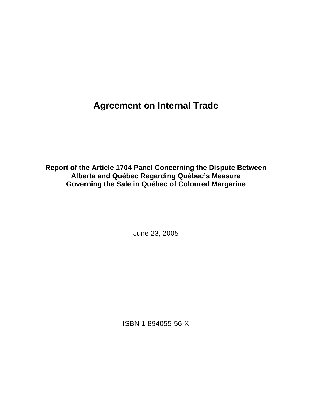**Agreement on Internal Trade** 

**Report of the Article 1704 Panel Concerning the Dispute Between Alberta and Québec Regarding Québec's Measure Governing the Sale in Québec of Coloured Margarine** 

June 23, 2005

ISBN 1-894055-56-X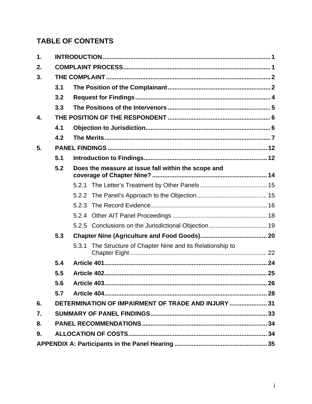# **TABLE OF CONTENTS**

| $\mathbf 1$ . |                                                    |                                                                |  |  |
|---------------|----------------------------------------------------|----------------------------------------------------------------|--|--|
| 2.            |                                                    |                                                                |  |  |
| 3.            |                                                    |                                                                |  |  |
|               | 3.1                                                |                                                                |  |  |
|               | 3.2                                                |                                                                |  |  |
|               | 3.3                                                |                                                                |  |  |
| 4.            |                                                    |                                                                |  |  |
|               | 4.1                                                |                                                                |  |  |
|               | 4.2                                                |                                                                |  |  |
| 5.            |                                                    |                                                                |  |  |
|               | 5.1                                                |                                                                |  |  |
|               | 5.2                                                | Does the measure at issue fall within the scope and            |  |  |
|               |                                                    |                                                                |  |  |
|               |                                                    |                                                                |  |  |
|               |                                                    | 5.2.3                                                          |  |  |
|               |                                                    |                                                                |  |  |
|               |                                                    |                                                                |  |  |
|               | 5.3                                                |                                                                |  |  |
|               |                                                    | The Structure of Chapter Nine and its Relationship to<br>5.3.1 |  |  |
|               | 5.4                                                |                                                                |  |  |
|               | 5.5                                                |                                                                |  |  |
|               | 5.6                                                |                                                                |  |  |
|               | 5.7                                                |                                                                |  |  |
| 6.            | DETERMINATION OF IMPAIRMENT OF TRADE AND INJURY 31 |                                                                |  |  |
| 7.            |                                                    |                                                                |  |  |
| 8.            |                                                    |                                                                |  |  |
| 9.            |                                                    |                                                                |  |  |
|               |                                                    |                                                                |  |  |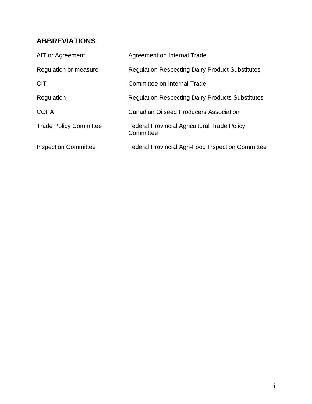# **ABBREVIATIONS**

| AIT or Agreement              | Agreement on Internal Trade                                      |
|-------------------------------|------------------------------------------------------------------|
| Regulation or measure         | <b>Regulation Respecting Dairy Product Substitutes</b>           |
| <b>CIT</b>                    | Committee on Internal Trade                                      |
| Regulation                    | <b>Regulation Respecting Dairy Products Substitutes</b>          |
| <b>COPA</b>                   | <b>Canadian Oilseed Producers Association</b>                    |
| <b>Trade Policy Committee</b> | <b>Federal Provincial Agricultural Trade Policy</b><br>Committee |
| <b>Inspection Committee</b>   | <b>Federal Provincial Agri-Food Inspection Committee</b>         |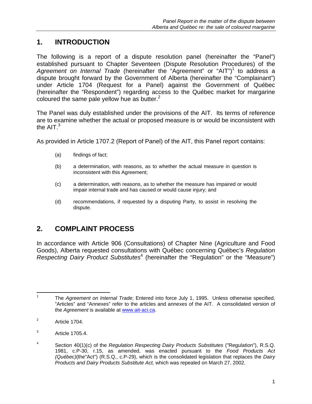## **1. INTRODUCTION**

The following is a report of a dispute resolution panel (hereinafter the "Panel") established pursuant to Chapter Seventeen (Dispute Resolution Procedures) of the Agreement on Internal Trade (hereinafter the "Agreement" or "AIT")<sup>1</sup> to address a dispute brought forward by the Government of Alberta (hereinafter the "Complainant") under Article 1704 (Request for a Panel) against the Government of Québec (hereinafter the "Respondent") regarding access to the Québec market for margarine coloured the same pale yellow hue as butter. $2<sup>2</sup>$ 

The Panel was duly established under the provisions of the AIT. Its terms of reference are to examine whether the actual or proposed measure is or would be inconsistent with the  $AIT<sup>3</sup>$ 

As provided in Article 1707.2 (Report of Panel) of the AIT, this Panel report contains:

- (a) findings of fact;
- (b) a determination, with reasons, as to whether the actual measure in question is inconsistent with this Agreement;
- (c) a determination, with reasons, as to whether the measure has impaired or would impair internal trade and has caused or would cause injury; and
- (d) recommendations, if requested by a disputing Party, to assist in resolving the dispute.

## **2. COMPLAINT PROCESS**

In accordance with Article 906 (Consultations) of Chapter Nine (Agriculture and Food Goods), Alberta requested consultations with Québec concerning Québec's *Regulation*  Respecting Dairy Product Substitutes<sup>4</sup> (hereinafter the "Regulation" or the "Measure")

 $\frac{1}{1}$  The *Agreement on Internal Trade*; Entered into force July 1, 1995. Unless otherwise specified, "Articles" and "Annexes" refer to the articles and annexes of the AIT. A consolidated version of the *Agreement* is available at www.ait-aci.ca.

<sup>2</sup> Article 1704.

<sup>3</sup> Article 1705.4.

<sup>4</sup> Section 40(1)(c) of the *Regulation Respecting Dairy Products Substitutes* ("Regulation"), R.S.Q. 1981, c.P-30, r.15, as amended, was enacted pursuant to the *Food Products Act (Québec)*(the"Act") (R.S.Q., c.P-29), which is the consolidated legislation that replaces the *Dairy Products and Dairy Products Substitute Act,* which was repealed on March 27, 2002.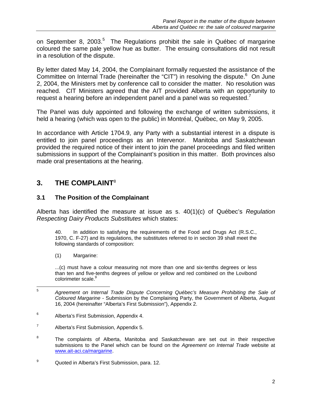on September 8, 2003.<sup>5</sup> The Regulations prohibit the sale in Québec of margarine coloured the same pale yellow hue as butter. The ensuing consultations did not result in a resolution of the dispute.

By letter dated May 14, 2004, the Complainant formally requested the assistance of the Committee on Internal Trade (hereinafter the "CIT") in resolving the dispute. $6$  On June 2, 2004, the Ministers met by conference call to consider the matter. No resolution was reached. CIT Ministers agreed that the AIT provided Alberta with an opportunity to request a hearing before an independent panel and a panel was so requested.

The Panel was duly appointed and following the exchange of written submissions, it held a hearing (which was open to the public) in Montréal, Québec, on May 9, 2005.

In accordance with Article 1704.9, any Party with a substantial interest in a dispute is entitled to join panel proceedings as an Intervenor. Manitoba and Saskatchewan provided the required notice of their intent to join the panel proceedings and filed written submissions in support of the Complainant's position in this matter. Both provinces also made oral presentations at the hearing.

## **3. THE COMPLAINT**<sup>8</sup>

### **3.1 The Position of the Complainant**

Alberta has identified the measure at issue as s. 40(1)(c) of Québec's *Regulation Respecting Dairy Products Substitutes* which states:

40. In addition to satisfying the requirements of the Food and Drugs Act (R.S.C., 1970, C. F-27) and its regulations, the substitutes referred to in section 39 shall meet the following standards of composition:

(1) Margarine:

 ...(c) must have a colour measuring not more than one and six-tenths degrees or less than ten and five-tenths degrees of yellow or yellow and red combined on the Lovibond colorimeter scale.<sup>9</sup>

- 6 Alberta's First Submission, Appendix 4.
- 7 Alberta's First Submission, Appendix 5.
- 8 The complaints of Alberta, Manitoba and Saskatchewan are set out in their respective submissions to the Panel which can be found on the *Agreement on Internal Trade* website at www.ait-aci.ca/margarine.
- 9 Quoted in Alberta's First Submission, para. 12.

 $\frac{1}{5}$  *Agreement on Internal Trade Dispute Concerning Québec's Measure Prohibiting the Sale of Coloured Margarine* - Submission by the Complaining Party, the Government of Alberta, August 16, 2004 (hereinafter "Alberta's First Submission"), Appendix 2.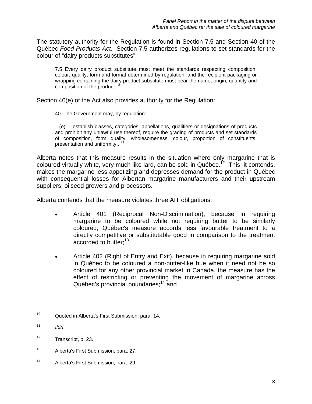The statutory authority for the Regulation is found in Section 7.5 and Section 40 of the Québec *Food Products Act*. Section 7.5 authorizes regulations to set standards for the colour of "dairy products substitutes":

7.5 Every dairy product substitute must meet the standards respecting composition, colour, quality, form and format determined by regulation, and the recipient packaging or wrapping containing the dairy product substitute must bear the name, origin, quantity and composition of the product.<sup>10</sup>

Section 40(e) of the Act also provides authority for the Regulation:

40. The Government may, by regulation:

...(e) establish classes, categories, appellations, qualifiers or designations of products and prohibit any unlawful use thereof, require the grading of products and set standards of composition, form quality, wholesomeness, colour, proportion of constituents, presentation and uniformity...<sup>1</sup>

Alberta notes that this measure results in the situation where only margarine that is coloured virtually white, very much like lard, can be sold in Québec.<sup>12</sup> This, it contends, makes the margarine less appetizing and depresses demand for the product in Québec with consequential losses for Albertan margarine manufacturers and their upstream suppliers, oilseed growers and processors.

Alberta contends that the measure violates three AIT obligations:

- Article 401 (Reciprocal Non-Discrimination), because in requiring margarine to be coloured while not requiring butter to be similarly coloured, Québec's measure accords less favourable treatment to a directly competitive or substitutable good in comparison to the treatment accorded to butter;<sup>13</sup>
- Article 402 (Right of Entry and Exit), because in requiring margarine sold in Québec to be coloured a non-butter-like hue when it need not be so coloured for any other provincial market in Canada, the measure has the effect of restricting or preventing the movement of margarine across Québec's provincial boundaries;<sup>14</sup> and

 $10\,$ Quoted in Alberta's First Submission, para. 14.

 $11$  *Ibid.* 

<sup>12</sup> Transcript, p. 23.

<sup>13</sup> Alberta's First Submission, para. 27.

<sup>14</sup> Alberta's First Submission, para. 29.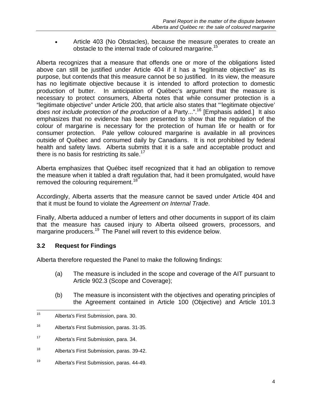Article 403 (No Obstacles), because the measure operates to create an obstacle to the internal trade of coloured margarine.<sup>15</sup>

Alberta recognizes that a measure that offends one or more of the obligations listed above can still be justified under Article 404 if it has a "legitimate objective" as its purpose, but contends that this measure cannot be so justified. In its view, the measure has no legitimate objective because it is intended to afford protection to domestic production of butter. In anticipation of Québec's argument that the measure is necessary to protect consumers, Alberta notes that while consumer protection is a "legitimate objective" under Article 200, that article also states that "'legitimate objective' *does not include protection of the production* of a Party...".16 [Emphasis added.] It also emphasizes that no evidence has been presented to show that the regulation of the colour of margarine is necessary for the protection of human life or health or for consumer protection. Pale yellow coloured margarine is available in all provinces outside of Québec and consumed daily by Canadians. It is not prohibited by federal health and safety laws. Alberta submits that it is a safe and acceptable product and there is no basis for restricting its sale.<sup>17</sup>

Alberta emphasizes that Québec itself recognized that it had an obligation to remove the measure when it tabled a draft regulation that, had it been promulgated, would have removed the colouring requirement.<sup>18</sup>

Accordingly, Alberta asserts that the measure cannot be saved under Article 404 and that it must be found to violate the *Agreement on Internal Trade*.

Finally, Alberta adduced a number of letters and other documents in support of its claim that the measure has caused injury to Alberta oilseed growers, processors, and margarine producers.<sup>19</sup> The Panel will revert to this evidence below.

#### **3.2 Request for Findings**

Alberta therefore requested the Panel to make the following findings:

- (a) The measure is included in the scope and coverage of the AIT pursuant to Article 902.3 (Scope and Coverage);
- (b) The measure is inconsistent with the objectives and operating principles of the Agreement contained in Article 100 (Objective) and Article 101.3

19 Alberta's First Submission, paras. 44-49.

 $15$ Alberta's First Submission, para. 30.

<sup>16</sup> Alberta's First Submission, paras. 31-35.

<sup>17</sup> Alberta's First Submission, para. 34.

<sup>18</sup> Alberta's First Submission, paras. 39-42.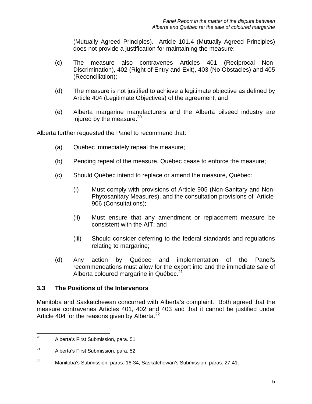(Mutually Agreed Principles). Article 101.4 (Mutually Agreed Principles) does not provide a justification for maintaining the measure;

- (c) The measure also contravenes Articles 401 (Reciprocal Non-Discrimination), 402 (Right of Entry and Exit), 403 (No Obstacles) and 405 (Reconciliation);
- (d) The measure is not justified to achieve a legitimate objective as defined by Article 404 (Legitimate Objectives) of the agreement; and
- (e) Alberta margarine manufacturers and the Alberta oilseed industry are injured by the measure. $20$

Alberta further requested the Panel to recommend that:

- (a) Québec immediately repeal the measure;
- (b) Pending repeal of the measure, Québec cease to enforce the measure;
- (c) Should Québec intend to replace or amend the measure, Québec:
	- (i) Must comply with provisions of Article 905 (Non-Sanitary and Non-Phytosanitary Measures), and the consultation provisions of Article 906 (Consultations);
	- (ii) Must ensure that any amendment or replacement measure be consistent with the AIT; and
	- (iii) Should consider deferring to the federal standards and regulations relating to margarine;
- (d) Any action by Québec and implementation of the Panel's recommendations must allow for the export into and the immediate sale of Alberta coloured margarine in Québec.<sup>21</sup>

#### **3.3 The Positions of the Intervenors**

Manitoba and Saskatchewan concurred with Alberta's complaint. Both agreed that the measure contravenes Articles 401, 402 and 403 and that it cannot be justified under Article 404 for the reasons given by Alberta.<sup>22</sup>

<sup>20</sup> Alberta's First Submission, para. 51.

<sup>21</sup> Alberta's First Submission, para. 52.

<sup>22</sup> Manitoba's Submission, paras. 16-34, Saskatchewan's Submission, paras. 27-41.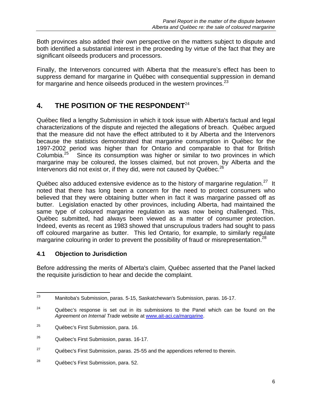Both provinces also added their own perspective on the matters subject to dispute and both identified a substantial interest in the proceeding by virtue of the fact that they are significant oilseeds producers and processors.

Finally, the Intervenors concurred with Alberta that the measure's effect has been to suppress demand for margarine in Québec with consequential suppression in demand for margarine and hence oilseeds produced in the western provinces.<sup>23</sup>

## **4. THE POSITION OF THE RESPONDENT**<sup>24</sup>

Québec filed a lengthy Submission in which it took issue with Alberta's factual and legal characterizations of the dispute and rejected the allegations of breach. Québec argued that the measure did not have the effect attributed to it by Alberta and the Intervenors because the statistics demonstrated that margarine consumption in Québec for the 1997-2002 period was higher than for Ontario and comparable to that for British Columbia.<sup>25</sup> Since its consumption was higher or similar to two provinces in which Since its consumption was higher or similar to two provinces in which margarine may be coloured, the losses claimed, but not proven, by Alberta and the Intervenors did not exist or, if they did, were not caused by  $Québec.<sup>26</sup>$ 

Québec also adduced extensive evidence as to the history of margarine regulation.<sup>27</sup> It noted that there has long been a concern for the need to protect consumers who believed that they were obtaining butter when in fact it was margarine passed off as butter. Legislation enacted by other provinces, including Alberta, had maintained the same type of coloured margarine regulation as was now being challenged. This, Québec submitted, had always been viewed as a matter of consumer protection. Indeed, events as recent as 1983 showed that unscrupulous traders had sought to pass off coloured margarine as butter. This led Ontario, for example, to similarly regulate margarine colouring in order to prevent the possibility of fraud or misrepresentation.<sup>28</sup>

## **4.1 Objection to Jurisdiction**

Before addressing the merits of Alberta's claim, Québec asserted that the Panel lacked the requisite jurisdiction to hear and decide the complaint.

<sup>23</sup> Manitoba's Submission, paras. 5-15, Saskatchewan's Submission, paras. 16-17.

 $24$  Québec's response is set out in its submissions to the Panel which can be found on the *Agreement on Internal Trade* website at www.ait-aci.ca/margarine.

<sup>&</sup>lt;sup>25</sup> Québec's First Submission, para. 16.

<sup>&</sup>lt;sup>26</sup> Québec's First Submission, paras. 16-17.

 $27$  Québec's First Submission, paras. 25-55 and the appendices referred to therein.

<sup>28</sup> Québec's First Submission, para. 52.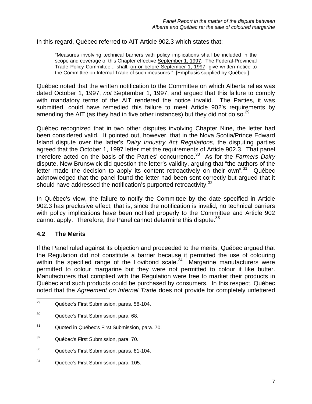In this regard, Québec referred to AIT Article 902.3 which states that:

"Measures involving technical barriers with policy implications shall be included in the scope and coverage of this Chapter effective September 1, 1997. The Federal-Provincial Trade Policy Committee... shall, on or before September 1, 1997, give written notice to the Committee on Internal Trade of such measures." [Emphasis supplied by Québec.]

Québec noted that the written notification to the Committee on which Alberta relies was dated October 1, 1997, *not* September 1, 1997, and argued that this failure to comply with mandatory terms of the AIT rendered the notice invalid. The Parties, it was submitted, could have remedied this failure to meet Article 902's requirements by amending the AIT (as they had in five other instances) but they did not do so.<sup>29</sup>

Québec recognized that in two other disputes involving Chapter Nine, the letter had been considered valid. It pointed out, however, that in the Nova Scotia/Prince Edward Island dispute over the latter's *Dairy Industry Act Regulations*, the disputing parties agreed that the October 1, 1997 letter met the requirements of Article 902.3. That panel therefore acted on the basis of the Parties' concurrence.30 As for the *Farmers Dairy* dispute, New Brunswick did question the letter's validity, arguing that "the authors of the letter made the decision to apply its content retroactively on their own". $31$  Québec acknowledged that the panel found the letter had been sent correctly but argued that it should have addressed the notification's purported retroactivity.<sup>32</sup>

In Québec's view, the failure to notify the Committee by the date specified in Article 902.3 has preclusive effect; that is, since the notification is invalid, no technical barriers with policy implications have been notified properly to the Committee and Article 902 cannot apply. Therefore, the Panel cannot determine this dispute.<sup>33</sup>

#### **4.2 The Merits**

If the Panel ruled against its objection and proceeded to the merits, Québec argued that the Regulation did not constitute a barrier because it permitted the use of colouring within the specified range of the Lovibond scale.<sup>34</sup> Margarine manufacturers were permitted to colour margarine but they were not permitted to colour it like butter. Manufacturers that complied with the Regulation were free to market their products in Québec and such products could be purchased by consumers. In this respect, Québec noted that the *Agreement on Internal Trade* does not provide for completely unfettered

<sup>29</sup> Québec's First Submission, paras. 58-104.

<sup>30</sup> Québec's First Submission, para. 68.

<sup>31</sup> Quoted in Québec's First Submission, para. 70.

<sup>32</sup> Québec's First Submission, para. 70.

<sup>33</sup> Québec's First Submission, paras. 81-104.

<sup>34</sup> Québec's First Submission, para. 105.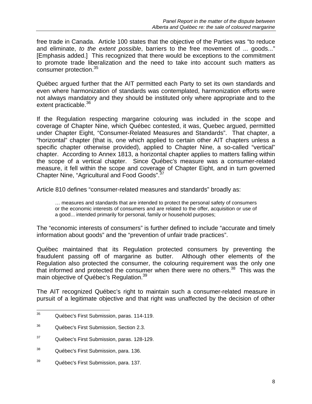free trade in Canada. Article 100 states that the objective of the Parties was "to reduce and eliminate, *to the extent possible*, barriers to the free movement of ... goods..." [Emphasis added.] This recognized that there would be exceptions to the commitment to promote trade liberalization and the need to take into account such matters as consumer protection.<sup>35</sup>

Québec argued further that the AIT permitted each Party to set its own standards and even where harmonization of standards was contemplated, harmonization efforts were not always mandatory and they should be instituted only where appropriate and to the extent practicable.<sup>36</sup>

If the Regulation respecting margarine colouring was included in the scope and coverage of Chapter Nine, which Québec contested, it was, Quebec argued, permitted under Chapter Eight, "Consumer-Related Measures and Standards". That chapter, a "horizontal" chapter (that is, one which applied to certain other AIT chapters unless a specific chapter otherwise provided), applied to Chapter Nine, a so-called "vertical" chapter. According to Annex 1813, a horizontal chapter applies to matters falling within the scope of a vertical chapter. Since Québec's measure was a consumer-related measure, it fell within the scope and coverage of Chapter Eight, and in turn governed Chapter Nine, "Agricultural and Food Goods".37

Article 810 defines "consumer-related measures and standards" broadly as:

… measures and standards that are intended to protect the personal safety of consumers or the economic interests of consumers and are related to the offer, acquisition or use of a good... intended primarily for personal, family or household purposes;

The "economic interests of consumers" is further defined to include "accurate and timely information about goods" and the "prevention of unfair trade practices".

Québec maintained that its Regulation protected consumers by preventing the fraudulent passing off of margarine as butter. Although other elements of the Regulation also protected the consumer, the colouring requirement was the only one that informed and protected the consumer when there were no others. $38$  This was the main objective of Québec's Regulation.<sup>39</sup>

The AIT recognized Québec's right to maintain such a consumer-related measure in pursuit of a legitimate objective and that right was unaffected by the decision of other

<sup>35</sup> Québec's First Submission, paras. 114-119.

<sup>36</sup> Québec's First Submission, Section 2.3.

<sup>37</sup> Québec's First Submission, paras. 128-129.

<sup>&</sup>lt;sup>38</sup> Québec's First Submission, para. 136.

<sup>39</sup> Québec's First Submission, para. 137.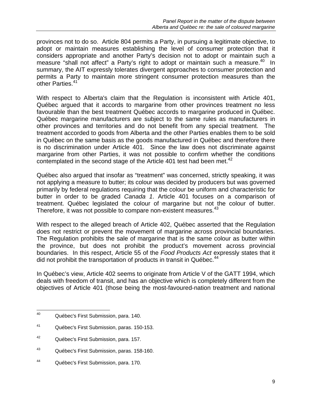provinces not to do so. Article 804 permits a Party, in pursuing a legitimate objective, to adopt or maintain measures establishing the level of consumer protection that it considers appropriate and another Party's decision not to adopt or maintain such a measure "shall not affect" a Party's right to adopt or maintain such a measure.<sup>40</sup> In summary, the AIT expressly tolerates divergent approaches to consumer protection and permits a Party to maintain more stringent consumer protection measures than the other Parties.<sup>41</sup>

With respect to Alberta's claim that the Regulation is inconsistent with Article 401, Québec argued that it accords to margarine from other provinces treatment no less favourable than the best treatment Québec accords to margarine produced in Québec. Québec margarine manufacturers are subject to the same rules as manufacturers in other provinces and territories and do not benefit from any special treatment. The treatment accorded to goods from Alberta and the other Parties enables them to be sold in Québec on the same basis as the goods manufactured in Québec and therefore there is no discrimination under Article 401. Since the law does not discriminate against margarine from other Parties, it was not possible to confirm whether the conditions contemplated in the second stage of the Article 401 test had been met.<sup>42</sup>

Québec also argued that insofar as "treatment" was concerned, strictly speaking, it was not applying a measure to butter; its colour was decided by producers but was governed primarily by federal regulations requiring that the colour be uniform and characteristic for butter in order to be graded *Canada 1*. Article 401 focuses on a comparison of treatment. Québec legislated the colour of margarine but not the colour of butter. Therefore, it was not possible to compare non-existent measures.<sup>43</sup>

With respect to the alleged breach of Article 402, Québec asserted that the Regulation does not restrict or prevent the movement of margarine across provincial boundaries. The Regulation prohibits the sale of margarine that is the same colour as butter within the province, but does not prohibit the product's movement across provincial boundaries. In this respect, Article 55 of the *Food Products Act* expressly states that it did not prohibit the transportation of products in transit in Québec.<sup>44</sup>

In Québec's view, Article 402 seems to originate from Article V of the GATT 1994, which deals with freedom of transit, and has an objective which is completely different from the objectives of Article 401 (those being the most-favoured-nation treatment and national

<sup>40</sup> Québec's First Submission, para. 140.

<sup>41</sup> Québec's First Submission, paras. 150-153.

<sup>42</sup> Québec's First Submission, para. 157.

<sup>43</sup> Québec's First Submission, paras. 158-160.

<sup>44</sup> Québec's First Submission, para. 170.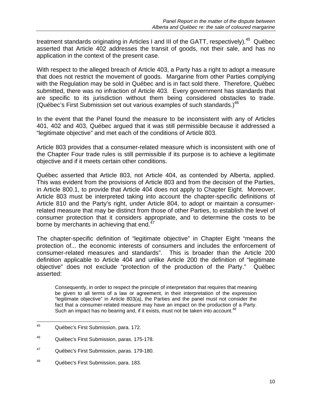treatment standards originating in Articles I and III of the GATT, respectively).<sup>45</sup> Québec asserted that Article 402 addresses the transit of goods, not their sale, and has no application in the context of the present case.

With respect to the alleged breach of Article 403, a Party has a right to adopt a measure that does not restrict the movement of goods. Margarine from other Parties complying with the Regulation may be sold in Québec and is in fact sold there. Therefore, Québec submitted, there was no infraction of Article 403. Every government has standards that are specific to its jurisdiction without them being considered obstacles to trade. (Québec's First Submission set out various examples of such standards.) $46$ 

In the event that the Panel found the measure to be inconsistent with any of Articles 401, 402 and 403, Québec argued that it was still permissible because it addressed a "legitimate objective" and met each of the conditions of Article 803.

Article 803 provides that a consumer-related measure which is inconsistent with one of the Chapter Four trade rules is still permissible if its purpose is to achieve a legitimate objective and if it meets certain other conditions.

Québec asserted that Article 803, not Article 404, as contended by Alberta, applied. This was evident from the provisions of Article 803 and from the decision of the Parties, in Article 800.1, to provide that Article 404 does not apply to Chapter Eight. Moreover, Article 803 must be interpreted taking into account the chapter-specific definitions of Article 810 and the Party's right, under Article 804, to adopt or maintain a consumerrelated measure that may be distinct from those of other Parties, to establish the level of consumer protection that it considers appropriate, and to determine the costs to be borne by merchants in achieving that end.<sup>47</sup>

The chapter-specific definition of "legitimate objective" in Chapter Eight "means the protection of... the economic interests of consumers and includes the enforcement of consumer-related measures and standards". This is broader than the Article 200 definition applicable to Article 404 and unlike Article 200 the definition of "legitimate objective" does not exclude "protection of the production of the Party." Québec asserted:

Consequently, in order to respect the principle of interpretation that requires that meaning be given to all terms of a law or agreement, in their interpretation of the expression "legitimate objective" in Article 803(a), the Parties and the panel must not consider the fact that a consumer-related measure may have an impact on the production of a Party. Such an impact has no bearing and, if it exists, must not be taken into account.<sup>41</sup>

<sup>45</sup> Québec's First Submission, para. 172.

<sup>46</sup> Québec's First Submission, paras. 175-178.

<sup>47</sup> Québec's First Submission, paras. 179-180.

<sup>48</sup> Québec's First Submission, para. 183.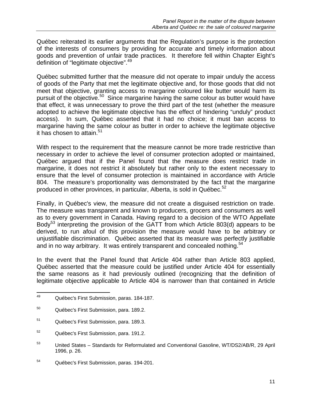Québec reiterated its earlier arguments that the Regulation's purpose is the protection of the interests of consumers by providing for accurate and timely information about goods and prevention of unfair trade practices. It therefore fell within Chapter Eight's definition of "legitimate objective".<sup>49</sup>

Québec submitted further that the measure did not operate to impair unduly the access of goods of the Party that met the legitimate objective and, for those goods that did not meet that objective, granting access to margarine coloured like butter would harm its pursuit of the objective.<sup>50</sup> Since margarine having the same colour as butter would have that effect, it was unnecessary to prove the third part of the test (whether the measure adopted to achieve the legitimate objective has the effect of hindering "unduly" product access). In sum, Québec asserted that it had no choice; it must ban access to margarine having the same colour as butter in order to achieve the legitimate objective it has chosen to attain. $51$ 

With respect to the requirement that the measure cannot be more trade restrictive than necessary in order to achieve the level of consumer protection adopted or maintained, Québec argued that if the Panel found that the measure does restrict trade in margarine, it does not restrict it absolutely but rather only to the extent necessary to ensure that the level of consumer protection is maintained in accordance with Article 804. The measure's proportionality was demonstrated by the fact that the margarine produced in other provinces, in particular, Alberta, is sold in Québec.<sup>52</sup>

Finally, in Québec's view, the measure did not create a disguised restriction on trade. The measure was transparent and known to producers, grocers and consumers as well as to every government in Canada. Having regard to a decision of the WTO Appellate Body<sup>53</sup> interpreting the provision of the GATT from which Article 803(d) appears to be derived, to run afoul of this provision the measure would have to be arbitrary or unjustifiable discrimination. Québec asserted that its measure was perfectly justifiable and in no way arbitrary. It was entirely transparent and concealed nothing.<sup>54</sup>

In the event that the Panel found that Article 404 rather than Article 803 applied, Québec asserted that the measure could be justified under Article 404 for essentially the same reasons as it had previously outlined (recognizing that the definition of legitimate objective applicable to Article 404 is narrower than that contained in Article

<sup>49</sup> 49 Québec's First Submission, paras. 184-187.

<sup>50</sup> Québec's First Submission, para. 189.2.

<sup>51</sup> Québec's First Submission, para. 189.3.

<sup>52</sup> Québec's First Submission, para. 191.2.

<sup>53</sup> United States – Standards for Reformulated and Conventional Gasoline, WT/DS2/AB/R, 29 April 1996, p. 26.

<sup>54</sup> Québec's First Submission, paras. 194-201.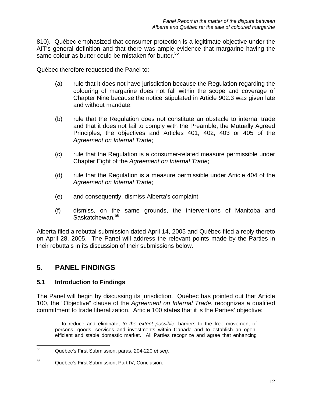810). Québec emphasized that consumer protection is a legitimate objective under the AIT's general definition and that there was ample evidence that margarine having the same colour as butter could be mistaken for butter.<sup>55</sup>

Québec therefore requested the Panel to:

- (a) rule that it does not have jurisdiction because the Regulation regarding the colouring of margarine does not fall within the scope and coverage of Chapter Nine because the notice stipulated in Article 902.3 was given late and without mandate;
- (b) rule that the Regulation does not constitute an obstacle to internal trade and that it does not fail to comply with the Preamble, the Mutually Agreed Principles, the objectives and Articles 401, 402, 403 or 405 of the *Agreement on Internal Trade*;
- (c) rule that the Regulation is a consumer-related measure permissible under Chapter Eight of the *Agreement on Internal Trade*;
- (d) rule that the Regulation is a measure permissible under Article 404 of the *Agreement on Internal Trade*;
- (e) and consequently, dismiss Alberta's complaint;
- (f) dismiss, on the same grounds, the interventions of Manitoba and Saskatchewan.<sup>56</sup>

Alberta filed a rebuttal submission dated April 14, 2005 and Québec filed a reply thereto on April 28, 2005. The Panel will address the relevant points made by the Parties in their rebuttals in its discussion of their submissions below.

## **5. PANEL FINDINGS**

#### **5.1 Introduction to Findings**

The Panel will begin by discussing its jurisdiction. Québec has pointed out that Article 100, the "Objective" clause of the *Agreement on Internal Trade*, recognizes a qualified commitment to trade liberalization. Article 100 states that it is the Parties' objective:

... to reduce and eliminate, *to the extent possible*, barriers to the free movement of persons, goods, services and investments within Canada and to establish an open, efficient and stable domestic market. All Parties recognize and agree that enhancing

<sup>55</sup> 55 Québec's First Submission, paras. 204-220 *et seq.* 

<sup>56</sup> Québec's First Submission, Part IV, Conclusion.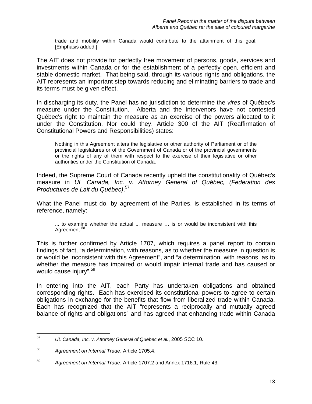trade and mobility within Canada would contribute to the attainment of this goal. [Emphasis added.]

The AIT does not provide for perfectly free movement of persons, goods, services and investments within Canada or for the establishment of a perfectly open, efficient and stable domestic market. That being said, through its various rights and obligations, the AIT represents an important step towards reducing and eliminating barriers to trade and its terms must be given effect.

In discharging its duty, the Panel has no jurisdiction to determine the *vires* of Québec's measure under the Constitution. Alberta and the Intervenors have not contested Québec's right to maintain the measure as an exercise of the powers allocated to it under the Constitution. Nor could they. Article 300 of the AIT (Reaffirmation of Constitutional Powers and Responsibilities) states:

Nothing in this Agreement alters the legislative or other authority of Parliament or of the provincial legislatures or of the Government of Canada or of the provincial governments or the rights of any of them with respect to the exercise of their legislative or other authorities under the Constitution of Canada.

Indeed, the Supreme Court of Canada recently upheld the constitutionality of Québec's measure in *UL Canada, Inc. v. Attorney General of Québec, (Federation des Productures de Lait du Québec)*. 57

What the Panel must do, by agreement of the Parties, is established in its terms of reference, namely:

... to examine whether the actual ... measure … is or would be inconsistent with this Agreement.<sup>58</sup>

This is further confirmed by Article 1707, which requires a panel report to contain findings of fact, "a determination, with reasons, as to whether the measure in question is or would be inconsistent with this Agreement", and "a determination, with reasons, as to whether the measure has impaired or would impair internal trade and has caused or would cause injury".<sup>59</sup>

In entering into the AIT, each Party has undertaken obligations and obtained corresponding rights. Each has exercised its constitutional powers to agree to certain obligations in exchange for the benefits that flow from liberalized trade within Canada. Each has recognized that the AIT "represents a reciprocally and mutually agreed balance of rights and obligations" and has agreed that enhancing trade within Canada

<sup>57</sup> 57 *UL Canada, Inc. v. Attorney General of Quebec et al.*, 2005 SCC 10.

<sup>58</sup> *Agreement on Internal Trade*, Article 1705.4.

<sup>59</sup> *Agreement on Internal Trade*, Article 1707.2 and Annex 1716.1, Rule 43.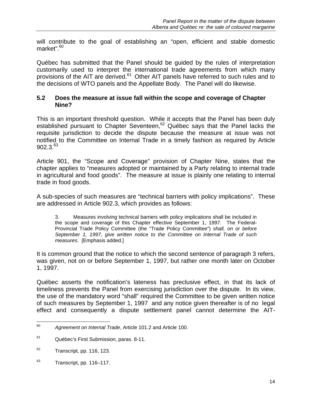will contribute to the goal of establishing an "open, efficient and stable domestic market".<sup>60</sup>

Québec has submitted that the Panel should be guided by the rules of interpretation customarily used to interpret the international trade agreements from which many provisions of the AIT are derived.<sup>61</sup> Other AIT panels have referred to such rules and to the decisions of WTO panels and the Appellate Body. The Panel will do likewise.

#### **5.2 Does the measure at issue fall within the scope and coverage of Chapter Nine?**

This is an important threshold question. While it accepts that the Panel has been duly established pursuant to Chapter Seventeen, $62$  Québec says that the Panel lacks the requisite jurisdiction to decide the dispute because the measure at issue was not notified to the Committee on Internal Trade in a timely fashion as required by Article  $902.3^{63}$ 

Article 901, the "Scope and Coverage" provision of Chapter Nine, states that the chapter applies to "measures adopted or maintained by a Party relating to internal trade in agricultural and food goods". The measure at issue is plainly one relating to internal trade in food goods.

A sub-species of such measures are "technical barriers with policy implications". These are addressed in Article 902.3, which provides as follows:

3. Measures involving technical barriers with policy implications shall be included in the scope and coverage of this Chapter effective September 1, 1997. The Federal-Provincial Trade Policy Committee (the "Trade Policy Committee") *shall, on or before September 1, 1997, give written notice to the Committee on Internal Trade of such measures*. [Emphasis added.]

It is common ground that the notice to which the second sentence of paragraph 3 refers, was given, not on or before September 1, 1997, but rather one month later on October 1, 1997.

Québec asserts the notification's lateness has preclusive effect, in that its lack of timeliness prevents the Panel from exercising jurisdiction over the dispute. In its view, the use of the mandatory word "shall" required the Committee to be given written notice of such measures by September 1, 1997 and any notice given thereafter is of no legal effect and consequently a dispute settlement panel cannot determine the AIT-

<sup>60</sup> 60 *Agreement on Internal Trade*, Article 101.2 and Article 100.

<sup>61</sup> Québec's First Submission, paras. 8-11.

 $62$  Transcript, pp. 116, 123.

 $63$  Transcript, pp. 116–117.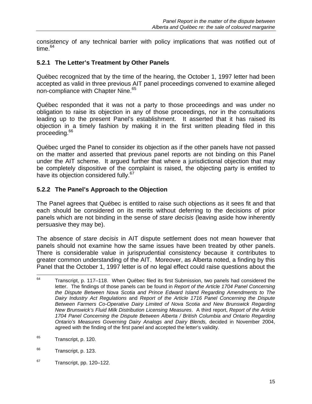consistency of any technical barrier with policy implications that was notified out of time. $64$ 

## **5.2.1 The Letter's Treatment by Other Panels**

Québec recognized that by the time of the hearing, the October 1, 1997 letter had been accepted as valid in three previous AIT panel proceedings convened to examine alleged non-compliance with Chapter Nine.<sup>65</sup>

Québec responded that it was not a party to those proceedings and was under no obligation to raise its objection in any of those proceedings, nor in the consultations leading up to the present Panel's establishment. It asserted that it has raised its objection in a timely fashion by making it in the first written pleading filed in this proceeding.<sup>66</sup>

Québec urged the Panel to consider its objection as if the other panels have not passed on the matter and asserted that previous panel reports are not binding on this Panel under the AIT scheme. It argued further that where a jurisdictional objection that may be completely dispositive of the complaint is raised, the objecting party is entitled to have its objection considered fully.<sup>67</sup>

### **5.2.2 The Panel's Approach to the Objection**

The Panel agrees that Québec is entitled to raise such objections as it sees fit and that each should be considered on its merits without deferring to the decisions of prior panels which are not binding in the sense of *stare decisis* (leaving aside how inherently persuasive they may be).

The absence of *stare decisis* in AIT dispute settlement does not mean however that panels should not examine how the same issues have been treated by other panels. There is considerable value in jurisprudential consistency because it contributes to greater common understanding of the AIT. Moreover, as Alberta noted, a finding by this Panel that the October 1, 1997 letter is of no legal effect could raise questions about the

 $67$  Transcript, pp. 120–122.

<sup>64</sup> Transcript, p. 117–118. When Québec filed its first Submission, two panels had considered the letter. The findings of those panels can be found in *Report of the Article 1704 Panel Concerning the Dispute Between Nova Scotia and Prince Edward Island Regarding Amendments to The Dairy Industry Act Regulations* and *Report of the Article 1716 Panel Concerning the Dispute Between Farmers Co-Operative Dairy Limited of Nova Scotia and New Brunswick Regarding New Brunswick's Fluid Milk Distribution Licensing Measures*. A third report, *Report of the Article 1704 Panel Concerning the Dispute Between Alberta / British Columbia and Ontario Regarding Ontario's Measures Governing Dairy Analogs and Dairy Blends,* decided in November 2004, agreed with the finding of the first panel and accepted the letter's validity.

<sup>&</sup>lt;sup>65</sup> Transcript, p. 120.

<sup>&</sup>lt;sup>66</sup> Transcript, p. 123.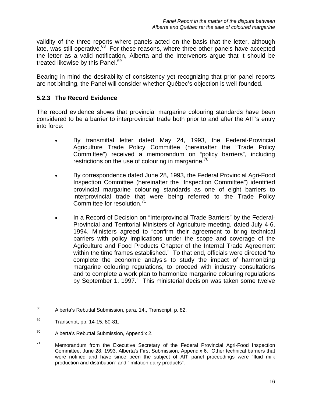validity of the three reports where panels acted on the basis that the letter, although late, was still operative. $68$  For these reasons, where three other panels have accepted the letter as a valid notification, Alberta and the Intervenors argue that it should be treated likewise by this Panel.<sup>69</sup>

Bearing in mind the desirability of consistency yet recognizing that prior panel reports are not binding, the Panel will consider whether Québec's objection is well-founded.

## **5.2.3 The Record Evidence**

The record evidence shows that provincial margarine colouring standards have been considered to be a barrier to interprovincial trade both prior to and after the AIT's entry into force:

- By transmittal letter dated May 24, 1993, the Federal-Provincial Agriculture Trade Policy Committee (hereinafter the "Trade Policy Committee") received a memorandum on "policy barriers", including restrictions on the use of colouring in margarine.<sup>70</sup>
- By correspondence dated June 28, 1993, the Federal Provincial Agri-Food Inspection Committee (hereinafter the "Inspection Committee") identified provincial margarine colouring standards as one of eight barriers to interprovincial trade that were being referred to the Trade Policy Committee for resolution.<sup>71</sup>
- In a Record of Decision on "Interprovincial Trade Barriers" by the Federal-Provincial and Territorial Ministers of Agriculture meeting, dated July 4-6, 1994, Ministers agreed to "confirm their agreement to bring technical barriers with policy implications under the scope and coverage of the Agriculture and Food Products Chapter of the Internal Trade Agreement within the time frames established." To that end, officials were directed "to complete the economic analysis to study the impact of harmonizing margarine colouring regulations, to proceed with industry consultations and to complete a work plan to harmonize margarine colouring regulations by September 1, 1997." This ministerial decision was taken some twelve

<sup>68</sup> 68 Alberta's Rebuttal Submission, para. 14., Transcript, p. 82.

 $69$  Transcript, pp. 14-15, 80-81.

<sup>70</sup> Alberta's Rebuttal Submission, Appendix 2.

 $71$  Memorandum from the Executive Secretary of the Federal Provincial Agri-Food Inspection Committee, June 28, 1993, Alberta's First Submission, Appendix 6. Other technical barriers that were notified and have since been the subject of AIT panel proceedings were "fluid milk production and distribution" and "imitation dairy products".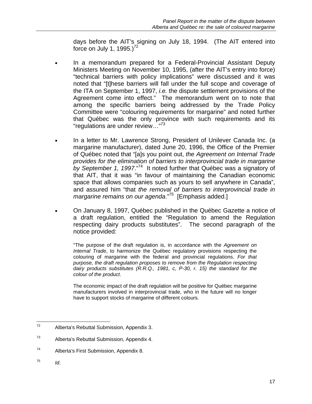days before the AIT's signing on July 18, 1994. (The AIT entered into force on July 1, 1995.) $^{72}$ 

- In a memorandum prepared for a Federal-Provincial Assistant Deputy Ministers Meeting on November 10, 1995, (after the AIT's entry into force) "technical barriers with policy implications" were discussed and it was noted that "[t]hese barriers will fall under the full scope and coverage of the ITA on September 1, 1997, *i.e.* the dispute settlement provisions of the Agreement come into effect." The memorandum went on to note that among the specific barriers being addressed by the Trade Policy Committee were "colouring requirements for margarine" and noted further that Québec was the only province with such requirements and its "regulations are under review..."<sup>73</sup>
- In a letter to Mr. Lawrence Strong, President of Unilever Canada Inc. (a margarine manufacturer), dated June 20, 1996, the Office of the Premier of Québec noted that "[a]s you point out, *the Agreement on Internal Trade provides for the elimination of barriers to interprovincial trade in margarine by September 1, 1997*."74 It noted further that Québec was a signatory of that AIT, that it was "in favour of maintaining the Canadian economic space that allows companies such as yours to sell anywhere in Canada", and assured him "that *the removal of barriers to interprovincial trade in margarine remains on our agenda*."<sup>75</sup> [Emphasis added.]
- On January 8, 1997, Québec published in the Québec Gazette a notice of a draft regulation, entitled the "Regulation to amend the Regulation respecting dairy products substitutes". The second paragraph of the notice provided:

"The purpose of the draft regulation is, in accordance with the *Agreement on Internal Trade*, to harmonize the Québec regulatory provisions respecting the colouring of margarine with the federal and provincial regulations. *For that purpose, the draft regulation proposes to remove from the Regulation respecting dairy products substitutes (R.R.Q., 1981, c, P-30, r. 15) the standard for the colour of the product*.

The economic impact of the draft regulation will be positive for Québec margarine manufacturers involved in interprovincial trade, who in the future will no longer have to support stocks of margarine of different colours.

 $^{75}$  *Id.* 

 $72$ Alberta's Rebuttal Submission, Appendix 3.

<sup>73</sup> Alberta's Rebuttal Submission, Appendix 4.

<sup>74</sup> Alberta's First Submission, Appendix 8.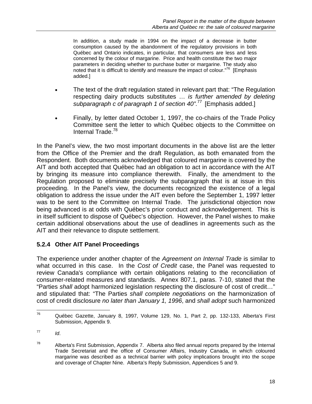In addition, a study made in 1994 on the impact of a decrease in butter consumption caused by the abandonment of the regulatory provisions in both Québec and Ontario indicates, in particular, that consumers are less and less concerned by the colour of margarine. Price and health constitute the two major parameters in deciding whether to purchase butter or margarine. The study also noted that it is difficult to identify and measure the impact of colour."76 [Emphasis added.]

- The text of the draft regulation stated in relevant part that: "The Regulation respecting dairy products substitutes … *is further amended by deleting subparagraph c of paragraph 1 of section 40".*77 [Emphasis added.]
- Finally, by letter dated October 1, 1997, the co-chairs of the Trade Policy Committee sent the letter to which Québec objects to the Committee on Internal Trade.<sup>78</sup>

In the Panel's view, the two most important documents in the above list are the letter from the Office of the Premier and the draft Regulation, as both emanated from the Respondent. Both documents acknowledged that coloured margarine is covered by the AIT and both accepted that Québec had an obligation to act in accordance with the AIT by bringing its measure into compliance therewith. Finally, the amendment to the Regulation proposed to eliminate precisely the subparagraph that is at issue in this proceeding. In the Panel's view, the documents recognized the existence of a legal obligation to address the issue under the AIT even before the September 1, 1997 letter was to be sent to the Committee on Internal Trade. The jurisdictional objection now being advanced is at odds with Québec's prior conduct and acknowledgement. This is in itself sufficient to dispose of Québec's objection. However, the Panel wishes to make certain additional observations about the use of deadlines in agreements such as the AIT and their relevance to dispute settlement.

## **5.2.4 Other AIT Panel Proceedings**

The experience under another chapter of the *Agreement on Internal Trade* is similar to what occurred in this case. In the *Cost of Credit* case, the Panel was requested to review Canada's compliance with certain obligations relating to the reconciliation of consumer-related measures and standards. Annex 807.1, paras. 7-10, stated that the "Parties *shall* adopt harmonized legislation respecting the disclosure of cost of credit…" and stipulated that: "The Parties *shall complete negotiations* on the harmonization of cost of credit disclosure *no later than January 1, 1996*, and *shall adopt* such harmonized

<sup>76</sup> 76 Québec Gazette, January 8, 1997, Volume 129, No. 1, Part 2, pp. 132-133, Alberta's First Submission, Appendix 9.

 $^{77}$  *Id.* 

 $78$  Alberta's First Submission, Appendix 7. Alberta also filed annual reports prepared by the Internal Trade Secretariat and the office of Consumer Affairs, Industry Canada, in which coloured margarine was described as a technical barrier with policy implications brought into the scope and coverage of Chapter Nine. Alberta's Reply Submission, Appendices 5 and 9.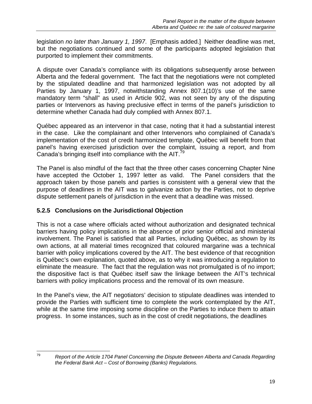legislation *no later than January 1, 1997*. [Emphasis added.] Neither deadline was met, but the negotiations continued and some of the participants adopted legislation that purported to implement their commitments.

A dispute over Canada's compliance with its obligations subsequently arose between Alberta and the federal government. The fact that the negotiations were not completed by the stipulated deadline and that harmonized legislation was not adopted by all Parties by January 1, 1997, notwithstanding Annex 807.1(10)'s use of the same mandatory term "shall" as used in Article 902, was not seen by any of the disputing parties or Intervenors as having preclusive effect in terms of the panel's jurisdiction to determine whether Canada had duly complied with Annex 807.1.

Québec appeared as an intervenor in that case, noting that it had a substantial interest in the case. Like the complainant and other Intervenors who complained of Canada's implementation of the cost of credit harmonized template, Québec will benefit from that panel's having exercised jurisdiction over the complaint, issuing a report, and from Canada's bringing itself into compliance with the AIT.<sup>79</sup>

The Panel is also mindful of the fact that the three other cases concerning Chapter Nine have accepted the October 1, 1997 letter as valid. The Panel considers that the approach taken by those panels and parties is consistent with a general view that the purpose of deadlines in the AIT was to galvanize action by the Parties, not to deprive dispute settlement panels of jurisdiction in the event that a deadline was missed.

## **5.2.5 Conclusions on the Jurisdictional Objection**

This is not a case where officials acted without authorization and designated technical barriers having policy implications in the absence of prior senior official and ministerial involvement. The Panel is satisfied that all Parties, including Québec, as shown by its own actions, at all material times recognized that coloured margarine was a technical barrier with policy implications covered by the AIT. The best evidence of that recognition is Québec's own explanation, quoted above, as to why it was introducing a regulation to eliminate the measure. The fact that the regulation was not promulgated is of no import; the dispositive fact is that Québec itself saw the linkage between the AIT's technical barriers with policy implications process and the removal of its own measure.

In the Panel's view, the AIT negotiators' decision to stipulate deadlines was intended to provide the Parties with sufficient time to complete the work contemplated by the AIT, while at the same time imposing some discipline on the Parties to induce them to attain progress. In some instances, such as in the cost of credit negotiations, the deadlines

<sup>79</sup> 

<sup>79</sup> *Report of the Article 1704 Panel Concerning the Dispute Between Alberta and Canada Regarding the Federal Bank Act – Cost of Borrowing (Banks) Regulations.*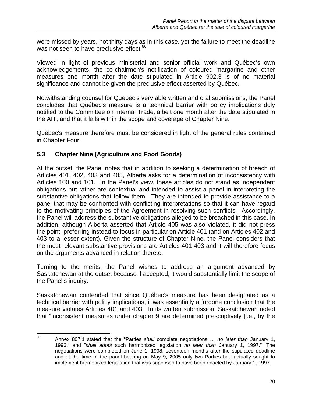were missed by years, not thirty days as in this case, yet the failure to meet the deadline was not seen to have preclusive effect.<sup>80</sup>

Viewed in light of previous ministerial and senior official work and Québec's own acknowledgements, the co-chairmen's notification of coloured margarine and other measures one month after the date stipulated in Article 902.3 is of no material significance and cannot be given the preclusive effect asserted by Québec.

Notwithstanding counsel for Quebec's very able written and oral submissions, the Panel concludes that Québec's measure is a technical barrier with policy implications duly notified to the Committee on Internal Trade, albeit one month after the date stipulated in the AIT, and that it falls within the scope and coverage of Chapter Nine.

Québec's measure therefore must be considered in light of the general rules contained in Chapter Four.

## **5.3 Chapter Nine (Agriculture and Food Goods)**

At the outset, the Panel notes that in addition to seeking a determination of breach of Articles 401, 402, 403 and 405, Alberta asks for a determination of inconsistency with Articles 100 and 101. In the Panel's view, these articles do not stand as independent obligations but rather are contextual and intended to assist a panel in interpreting the substantive obligations that follow them. They are intended to provide assistance to a panel that may be confronted with conflicting interpretations so that it can have regard to the motivating principles of the Agreement in resolving such conflicts. Accordingly, the Panel will address the substantive obligations alleged to be breached in this case. In addition, although Alberta asserted that Article 405 was also violated, it did not press the point, preferring instead to focus in particular on Article 401 (and on Articles 402 and 403 to a lesser extent). Given the structure of Chapter Nine, the Panel considers that the most relevant substantive provisions are Articles 401-403 and it will therefore focus on the arguments advanced in relation thereto.

Turning to the merits, the Panel wishes to address an argument advanced by Saskatchewan at the outset because if accepted, it would substantially limit the scope of the Panel's inquiry.

Saskatchewan contended that since Québec's measure has been designated as a technical barrier with policy implications, it was essentially a forgone conclusion that the measure violates Articles 401 and 403. In its written submission, Saskatchewan noted that "inconsistent measures under chapter 9 are determined prescriptively [i.e., by the

<sup>80</sup> 80 Annex 807.1 stated that the "Parties *shall* complete negotiations … *no later than* January 1, 1996," and "*shall adopt* such harmonized legislation *no later than* January 1, 1997." The negotiations were completed on June 1, 1998, seventeen months after the stipulated deadline and at the time of the panel hearing on May 9, 2005 only two Parties had actually sought to implement harmonized legislation that was supposed to have been enacted by January 1, 1997.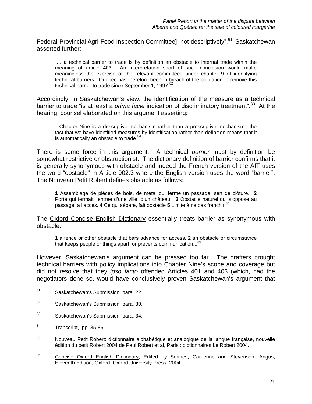Federal-Provincial Agri-Food Inspection Committee], not descriptively".<sup>81</sup> Saskatchewan asserted further:

 … a technical barrier to trade is by definition an obstacle to internal trade within the meaning of article 403. An interpretation short of such conclusion would make meaningless the exercise of the relevant committees under chapter 9 of identifying technical barriers. Québec has therefore been in breach of the obligation to remove this technical barrier to trade since September 1, 1997.<sup>82</sup>

Accordingly, in Saskatchewan's view, the identification of the measure as a technical barrier to trade "is at least a *prima facie* indication of discriminatory treatment".<sup>83</sup> At the hearing, counsel elaborated on this argument asserting:

...Chapter Nine is a descriptive mechanism rather than a prescriptive mechanism…the fact that we have identified measures by identification rather than definition means that it is automatically an obstacle to trade.<sup>84</sup>

There is some force in this argument. A technical *barrier* must by definition be somewhat restrictive or obstructionist. The dictionary definition of barrier confirms that it is generally synonymous with obstacle and indeed the French version of the AIT uses the word "obstacle" in Article 902.3 where the English version uses the word "barrier". The Nouveau Petit Robert defines obstacle as follows:

**1** Assemblage de pièces de bois, de métal qui ferme un passage, sert de clôture. **2** Porte qui fermait l'entrée d'une ville, d'un château. **3** Obstacle naturel qui s'oppose au passage, a l'accès. 4 Ce qui sépare, fait obstacle 5 Limite à ne pas franchir.<sup>81</sup>

The Oxford Concise English Dictionary essentially treats barrier as synonymous with obstacle:

**1** a fence or other obstacle that bars advance for access. **2** an obstacle or circumstance that keeps people or things apart, or prevents communication...<sup>86</sup>

However, Saskatchewan's argument can be pressed too far. The drafters brought technical barriers with policy implications into Chapter Nine's scope and coverage but did not resolve that they *ipso facto* offended Articles 401 and 403 (which, had the negotiators done so, would have conclusively proven Saskatchewan's argument that

- 83 Saskatchewan's Submission, para. 34.
- 84 Transcript, pp. 85-86.
- <sup>85</sup> Nouveau Petit Robert: dictionnaire alphabétique et analogique de la langue française, nouvelle édition du petit Robert 2004 de Paul Robert et al, Paris : dictionnaires Le Robert 2004.
- <sup>86</sup> Concise Oxford English Dictionary, Edited by Soanes, Catherine and Stevenson, Angus, Eleventh Edition, Oxford, Oxford University Press, 2004.

 $81$ Saskatchewan's Submission, para. 22.

<sup>82</sup> Saskatchewan's Submission, para. 30.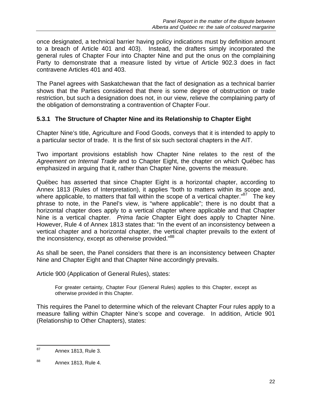once designated, a technical barrier having policy indications must by definition amount to a breach of Article 401 and 403). Instead, the drafters simply incorporated the general rules of Chapter Four into Chapter Nine and put the onus on the complaining Party to demonstrate that a measure listed by virtue of Article 902.3 does in fact contravene Articles 401 and 403.

The Panel agrees with Saskatchewan that the fact of designation as a technical barrier shows that the Parties considered that there is some degree of obstruction or trade restriction, but such a designation does not, in our view, relieve the complaining party of the obligation of demonstrating a contravention of Chapter Four.

#### **5.3.1 The Structure of Chapter Nine and its Relationship to Chapter Eight**

Chapter Nine's title, Agriculture and Food Goods, conveys that it is intended to apply to a particular sector of trade. It is the first of six such sectoral chapters in the AIT.

Two important provisions establish how Chapter Nine relates to the rest of the *Agreement on Internal Trade* and to Chapter Eight, the chapter on which Québec has emphasized in arguing that it, rather than Chapter Nine, governs the measure.

Québec has asserted that since Chapter Eight is a horizontal chapter, according to Annex 1813 (Rules of Interpretation), it applies "both to matters within its scope and, where applicable, to matters that fall within the scope of a vertical chapter."<sup>87</sup> The key phrase to note, in the Panel's view, is "where applicable"; there is no doubt that a horizontal chapter does apply to a vertical chapter where applicable and that Chapter Nine is a vertical chapter. *Prima facie* Chapter Eight does apply to Chapter Nine. However, Rule 4 of Annex 1813 states that: "In the event of an inconsistency between a vertical chapter and a horizontal chapter, the vertical chapter prevails to the extent of the inconsistency, except as otherwise provided."<sup>88</sup>

As shall be seen, the Panel considers that there is an inconsistency between Chapter Nine and Chapter Eight and that Chapter Nine accordingly prevails.

Article 900 (Application of General Rules), states:

For greater certainty, Chapter Four (General Rules) applies to this Chapter, except as otherwise provided in this Chapter.

This requires the Panel to determine which of the relevant Chapter Four rules apply to a measure falling within Chapter Nine's scope and coverage. In addition, Article 901 (Relationship to Other Chapters), states:

<sup>87</sup> Annex 1813, Rule 3.

<sup>88</sup> Annex 1813, Rule 4.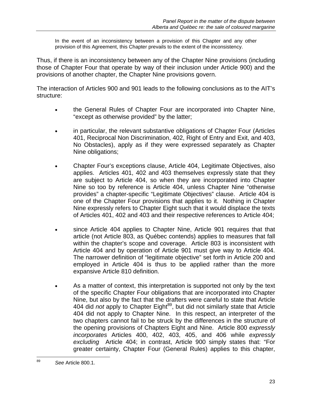In the event of an inconsistency between a provision of this Chapter and any other provision of this Agreement, this Chapter prevails to the extent of the inconsistency.

Thus, if there is an inconsistency between any of the Chapter Nine provisions (including those of Chapter Four that operate by way of their inclusion under Article 900) and the provisions of another chapter, the Chapter Nine provisions govern.

The interaction of Articles 900 and 901 leads to the following conclusions as to the AIT's structure:

- the General Rules of Chapter Four are incorporated into Chapter Nine, "except as otherwise provided" by the latter;
- in particular, the relevant substantive obligations of Chapter Four (Articles 401, Reciprocal Non Discrimination, 402, Right of Entry and Exit, and 403, No Obstacles), apply as if they were expressed separately as Chapter Nine obligations;
- Chapter Four's exceptions clause, Article 404, Legitimate Objectives, also applies. Articles 401, 402 and 403 themselves expressly state that they are subject to Article 404, so when they are incorporated into Chapter Nine so too by reference is Article 404, unless Chapter Nine "otherwise provides" a chapter-specific "Legitimate Objectives" clause. Article 404 is one of the Chapter Four provisions that applies to it. Nothing in Chapter Nine expressly refers to Chapter Eight such that it would displace the texts of Articles 401, 402 and 403 and their respective references to Article 404;
- since Article 404 applies to Chapter Nine, Article 901 requires that that article (not Article 803, as Québec contends) applies to measures that fall within the chapter's scope and coverage. Article 803 is inconsistent with Article 404 and by operation of Article 901 must give way to Article 404. The narrower definition of "legitimate objective" set forth in Article 200 and employed in Article 404 is thus to be applied rather than the more expansive Article 810 definition.
- As a matter of context, this interpretation is supported not only by the text of the specific Chapter Four obligations that are incorporated into Chapter Nine, but also by the fact that the drafters were careful to state that Article 404 did *not* apply to Chapter Eight<sup>89</sup>, but did not similarly state that Article 404 did not apply to Chapter Nine. In this respect, an interpreter of the two chapters cannot fail to be struck by the differences in the structure of the opening provisions of Chapters Eight and Nine. Article 800 *expressly incorporates* Articles 400, 402, 403, 405, and 406 while *expressly excluding* Article 404; in contrast, Article 900 simply states that: "For greater certainty, Chapter Four (General Rules) applies to this chapter,

<sup>89</sup> 89 *See* Article 800.1.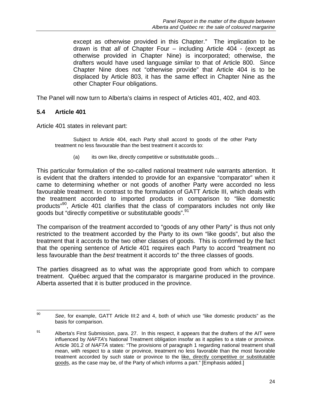except as otherwise provided in this Chapter." The implication to be drawn is that *all* of Chapter Four – including Article 404 - (except as otherwise provided in Chapter Nine) is incorporated; otherwise, the drafters would have used language similar to that of Article 800. Since Chapter Nine does not "otherwise provide" that Article 404 is to be displaced by Article 803, it has the same effect in Chapter Nine as the other Chapter Four obligations.

The Panel will now turn to Alberta's claims in respect of Articles 401, 402, and 403.

#### **5.4 Article 401**

Article 401 states in relevant part:

 Subject to Article 404, each Party shall accord to goods of the other Party treatment no less favourable than the best treatment it accords to:

(a) its own like, directly competitive or substitutable goods...

This particular formulation of the so-called national treatment rule warrants attention. It is evident that the drafters intended to provide for an expansive "comparator" when it came to determining whether or not goods of another Party were accorded no less favourable treatment. In contrast to the formulation of GATT Article III, which deals with the treatment accorded to imported products in comparison to "like domestic products"<sup>90</sup>, Article 401 clarifies that the class of comparators includes not only like goods but "directly competitive or substitutable goods".<sup>91</sup>

The comparison of the treatment accorded to "goods of any other Party" is thus not only restricted to the treatment accorded by the Party to its own "like goods", but also the treatment that it accords to the two other classes of goods. This is confirmed by the fact that the opening sentence of Article 401 requires each Party to accord "treatment no less favourable than the *best* treatment it accords to" the three classes of goods.

The parties disagreed as to what was the appropriate good from which to compare treatment. Québec argued that the comparator is margarine produced in the province. Alberta asserted that it is butter produced in the province.

 $90\,$ 90 *See*, for example, GATT Article III:2 and 4, both of which use "like domestic products" as the basis for comparison.

<sup>91</sup> Alberta's First Submission, para. 27. In this respect, it appears that the drafters of the AIT were influenced by *NAFTA*'s National Treatment obligation insofar as it applies to a state or province. Article 301.2 of *NAFTA* states: "The provisions of paragraph 1 regarding national treatment shall mean, with respect to a state or province, treatment no less favorable than the most favorable treatment accorded by such state or province to the like, directly competitive or substitutable goods, as the case may be, of the Party of which informs a part." [Emphasis added.]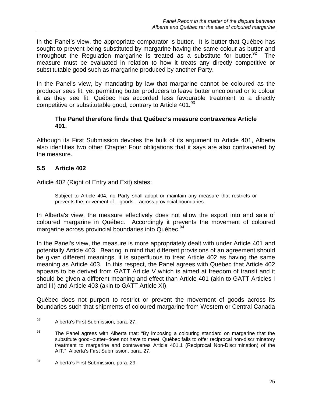In the Panel's view, the appropriate comparator is butter. It is butter that Québec has sought to prevent being substituted by margarine having the same colour as butter and throughout the Regulation margarine is treated as a substitute for butter.<sup>92</sup> The measure must be evaluated in relation to how it treats any directly competitive or substitutable good such as margarine produced by another Party.

In the Panel's view, by mandating by law that margarine cannot be coloured as the producer sees fit, yet permitting butter producers to leave butter uncoloured or to colour it as they see fit, Québec has accorded less favourable treatment to a directly competitive or substitutable good, contrary to Article  $401.<sup>93</sup>$ 

#### **The Panel therefore finds that Québec's measure contravenes Article 401.**

Although its First Submission devotes the bulk of its argument to Article 401, Alberta also identifies two other Chapter Four obligations that it says are also contravened by the measure.

### **5.5 Article 402**

Article 402 (Right of Entry and Exit) states:

Subject to Article 404, no Party shall adopt or maintain any measure that restricts or prevents the movement of... goods... across provincial boundaries.

In Alberta's view, the measure effectively does not allow the export into and sale of coloured margarine in Québec. Accordingly it prevents the movement of coloured margarine across provincial boundaries into Québec.<sup>94</sup>

In the Panel's view, the measure is more appropriately dealt with under Article 401 and potentially Article 403. Bearing in mind that different provisions of an agreement should be given different meanings, it is superfluous to treat Article 402 as having the same meaning as Article 403. In this respect, the Panel agrees with Québec that Article 402 appears to be derived from GATT Article V which is aimed at freedom of transit and it should be given a different meaning and effect than Article 401 (akin to GATT Articles I and III) and Article 403 (akin to GATT Article XI).

Québec does not purport to restrict or prevent the movement of goods across its boundaries such that shipments of coloured margarine from Western or Central Canada

<sup>92</sup> Alberta's First Submission, para. 27.

 $93$  The Panel agrees with Alberta that: "By imposing a colouring standard on margarine that the substitute good–butter–does not have to meet, Québec fails to offer reciprocal non-discriminatory treatment to margarine and contravenes Article 401.1 (Reciprocal Non-Discrimination) of the AIT." Alberta's First Submission, para. 27.

<sup>94</sup> Alberta's First Submission, para. 29.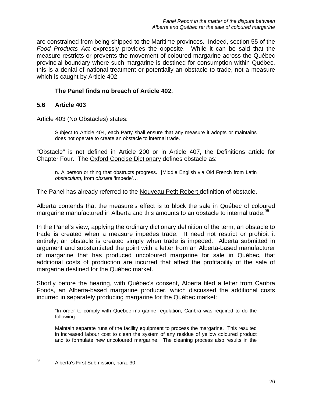are constrained from being shipped to the Maritime provinces. Indeed, section 55 of the *Food Products Act* expressly provides the opposite. While it can be said that the measure restricts or prevents the movement of coloured margarine across the Québec provincial boundary where such margarine is destined for consumption within Québec, this is a denial of national treatment or potentially an obstacle to trade, not a measure which is caught by Article 402.

## **The Panel finds no breach of Article 402.**

### **5.6 Article 403**

Article 403 (No Obstacles) states:

Subject to Article 404, each Party shall ensure that any measure it adopts or maintains does not operate to create an obstacle to internal trade.

"Obstacle" is not defined in Article 200 or in Article 407, the Definitions article for Chapter Four. The Oxford Concise Dictionary defines obstacle as:

n. A person or thing that obstructs progress. [Middle English via Old French from Latin *obstaculum*, from *obstare* 'impede'…

The Panel has already referred to the Nouveau Petit Robert definition of obstacle.

Alberta contends that the measure's effect is to block the sale in Québec of coloured margarine manufactured in Alberta and this amounts to an obstacle to internal trade.<sup>95</sup>

In the Panel's view, applying the ordinary dictionary definition of the term, an obstacle to trade is created when a measure impedes trade. It need not restrict or prohibit it entirely; an obstacle is created simply when trade is impeded. Alberta submitted in argument and substantiated the point with a letter from an Alberta-based manufacturer of margarine that has produced uncoloured margarine for sale in Québec, that additional costs of production are incurred that affect the profitability of the sale of margarine destined for the Québec market.

Shortly before the hearing, with Québec's consent, Alberta filed a letter from Canbra Foods, an Alberta-based margarine producer, which discussed the additional costs incurred in separately producing margarine for the Québec market:

"In order to comply with Quebec margarine regulation, Canbra was required to do the following:

Maintain separate runs of the facility equipment to process the margarine. This resulted in increased labour cost to clean the system of any residue of yellow coloured product and to formulate new uncoloured margarine. The cleaning process also results in the

<sup>95</sup> Alberta's First Submission, para. 30.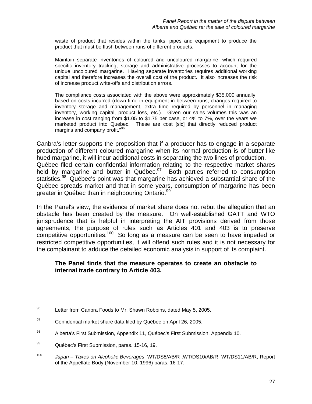waste of product that resides within the tanks, pipes and equipment to produce the product that must be flush between runs of different products.

Maintain separate inventories of coloured and uncoloured margarine, which required specific inventory tracking, storage and administrative processes to account for the unique uncoloured margarine. Having separate inventories requires additional working capital and therefore increases the overall cost of the product. It also increases the risk of increase product write-offs and distribution errors.

The compliance costs associated with the above were approximately \$35,000 annually, based on costs incurred (down-time in equipment in between runs, changes required to inventory storage and management, extra time required by personnel in managing inventory, working capital, product loss, etc.). Given our sales volumes this was an increase in cost ranging from \$1.05 to \$1.75 per case, or 4% to 7%, over the years we marketed product into Quebec. These are cost [sic] that directly reduced product margins and company profit."<sup>96</sup>

Canbra's letter supports the proposition that if a producer has to engage in a separate production of different coloured margarine when its normal production is of butter-like hued margarine, it will incur additional costs in separating the two lines of production. Québec filed certain confidential information relating to the respective market shares held by margarine and butter in Québec. $97$  Both parties referred to consumption statistics.<sup>98</sup> Québec's point was that margarine has achieved a substantial share of the Québec spreads market and that in some years, consumption of margarine has been greater in Québec than in neighbouring Ontario.<sup>99</sup>

In the Panel's view, the evidence of market share does not rebut the allegation that an obstacle has been created by the measure. On well-established GATT and WTO jurisprudence that is helpful in interpreting the AIT provisions derived from those agreements, the purpose of rules such as Articles 401 and 403 is to preserve competitive opportunities.<sup>100</sup> So long as a measure can be seen to have impeded or restricted competitive opportunities, it will offend such rules and it is not necessary for the complainant to adduce the detailed economic analysis in support of its complaint.

#### **The Panel finds that the measure operates to create an obstacle to internal trade contrary to Article 403.**

<sup>96</sup> Letter from Canbra Foods to Mr. Shawn Robbins, dated May 5, 2005.

 $^{97}$  Confidential market share data filed by Québec on April 26, 2005.

<sup>98</sup> Alberta's First Submission, Appendix 11, Québec's First Submission, Appendix 10.

<sup>99</sup> Québec's First Submission, paras. 15-16, 19.

<sup>100</sup> *Japan – Taxes on Alcoholic Beverages*, WT/DS8/AB/R ,WT/DS10/AB/R, WT/DS11/AB/R, Report of the Appellate Body (November 10, 1996) paras. 16-17.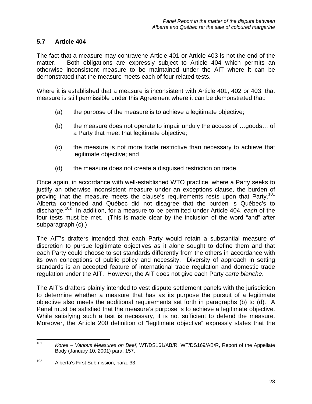## **5.7 Article 404**

The fact that a measure may contravene Article 401 or Article 403 is not the end of the matter. Both obligations are expressly subject to Article 404 which permits an otherwise inconsistent measure to be maintained under the AIT where it can be demonstrated that the measure meets each of four related tests.

Where it is established that a measure is inconsistent with Article 401, 402 or 403, that measure is still permissible under this Agreement where it can be demonstrated that:

- (a) the purpose of the measure is to achieve a legitimate objective;
- (b) the measure does not operate to impair unduly the access of …goods… of a Party that meet that legitimate objective;
- (c) the measure is not more trade restrictive than necessary to achieve that legitimate objective; and
- (d) the measure does not create a disguised restriction on trade.

Once again, in accordance with well-established WTO practice, where a Party seeks to justify an otherwise inconsistent measure under an exceptions clause, the burden of proving that the measure meets the clause's requirements rests upon that Party.<sup>101</sup> Alberta contended and Québec did not disagree that the burden is Québec's to discharge.102 In addition, for a measure to be permitted under Article 404, *each* of the four tests must be met. (This is made clear by the inclusion of the word "and" after subparagraph (c).)

The AIT's drafters intended that each Party would retain a substantial measure of discretion to pursue legitimate objectives as it alone sought to define them and that each Party could choose to set standards differently from the others in accordance with its own conceptions of public policy and necessity. Diversity of approach in setting standards is an accepted feature of international trade regulation and domestic trade regulation under the AIT. However, the AIT does not give each Party *carte blanche*.

The AIT's drafters plainly intended to vest dispute settlement panels with the jurisdiction to determine whether a measure that has as its purpose the pursuit of a legitimate objective also meets the additional requirements set forth in paragraphs (b) to (d). A Panel must be satisfied that the measure's purpose is to achieve a legitimate objective. While satisfying such a test is necessary, it is not sufficient to defend the measure. Moreover, the Article 200 definition of "legitimate objective" expressly states that the

<sup>101</sup> Korea - Various Measures on Beef, WT/DS161/AB/R, WT/DS169/AB/R, Report of the Appellate Body (January 10, 2001) para. 157.

<sup>102</sup> Alberta's First Submission, para. 33.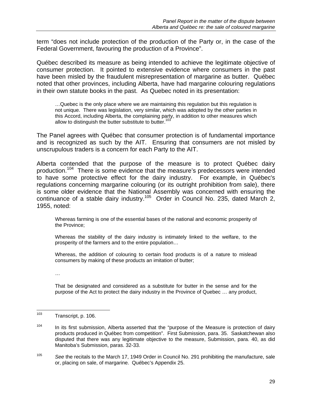term "does not include protection of the production of the Party or, in the case of the Federal Government, favouring the production of a Province".

Québec described its measure as being intended to achieve the legitimate objective of consumer protection. It pointed to extensive evidence where consumers in the past have been misled by the fraudulent misrepresentation of margarine as butter. Québec noted that other provinces, including Alberta, have had margarine colouring regulations in their own statute books in the past. As Quebec noted in its presentation:

…Quebec is the only place where we are maintaining this regulation but this regulation is not unique. There was legislation, very similar, which was adopted by the other parties in this Accord, including Alberta, the complaining party, in addition to other measures which allow to distinguish the butter substitute to butter.<sup>103</sup>

The Panel agrees with Québec that consumer protection is of fundamental importance and is recognized as such by the AIT. Ensuring that consumers are not misled by unscrupulous traders is a concern for each Party to the AIT.

Alberta contended that the purpose of the measure is to protect Québec dairy production.104 There is some evidence that the measure's predecessors were intended to have some protective effect for the dairy industry. For example, in Québec's regulations concerning margarine colouring (or its outright prohibition from sale), there is some older evidence that the National Assembly was concerned with ensuring the continuance of a stable dairy industry.<sup>105</sup> Order in Council No. 235, dated March 2, 1955, noted:

Whereas farming is one of the essential bases of the national and economic prosperity of the Province;

Whereas the stability of the dairy industry is intimately linked to the welfare, to the prosperity of the farmers and to the entire population…

Whereas, the addition of colouring to certain food products is of a nature to mislead consumers by making of these products an imitation of butter;

…

That be designated and considered as a substitute for butter in the sense and for the purpose of the Act to protect the dairy industry in the Province of Quebec … any product,

<sup>103</sup> Transcript, p. 106.

 $104$  In its first submission, Alberta asserted that the "purpose of the Measure is protection of dairy products produced in Québec from competition". First Submission, para. 35. Saskatchewan also disputed that there was any legitimate objective to the measure, Submission, para. 40, as did Manitoba's Submission, paras. 32-33.

<sup>105</sup> *See* the recitals to the March 17, 1949 Order in Council No. 291 prohibiting the manufacture, sale or, placing on sale, of margarine. Québec's Appendix 25.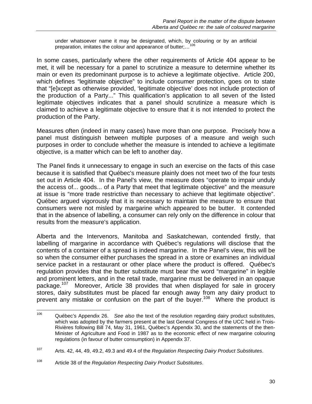under whatsoever name it may be designated, which, by colouring or by an artificial preparation, imitates the colour and appearance of butter;...<sup>1</sup>

In some cases, particularly where the other requirements of Article 404 appear to be met, it will be necessary for a panel to scrutinize a measure to determine whether its main or even its predominant purpose is to achieve a legitimate objective. Article 200, which defines "legitimate objective" to include consumer protection, goes on to state that "[e]xcept as otherwise provided, 'legitimate objective' does not include protection of the production of a Party..." This qualification's application to all seven of the listed legitimate objectives indicates that a panel should scrutinize a measure which is claimed to achieve a legitimate objective to ensure that it is not intended to protect the production of the Party.

Measures often (indeed in many cases) have more than one purpose. Precisely how a panel must distinguish between multiple purposes of a measure and weigh such purposes in order to conclude whether the measure is intended to achieve a legitimate objective, is a matter which can be left to another day.

The Panel finds it unnecessary to engage in such an exercise on the facts of this case because it is satisfied that Québec's measure plainly does not meet two of the four tests set out in Article 404. In the Panel's view, the measure does "operate to impair unduly the access of... goods... of a Party that meet that legitimate objective" and the measure at issue is "more trade restrictive than necessary to achieve that legitimate objective". Québec argued vigorously that it is necessary to maintain the measure to ensure that consumers were not misled by margarine which appeared to be butter. It contended that in the absence of labelling, a consumer can rely only on the difference in colour that results from the measure's application.

Alberta and the Intervenors, Manitoba and Saskatchewan, contended firstly, that labelling of margarine in accordance with Québec's regulations will disclose that the contents of a container of a spread is indeed margarine. In the Panel's view, this will be so when the consumer either purchases the spread in a store or examines an individual service packet in a restaurant or other place where the product is offered. Québec's regulation provides that the butter substitute must bear the word "margarine" in legible and prominent letters, and in the retail trade, margarine must be delivered in an opaque package.<sup>107</sup> Moreover, Article 38 provides that when displayed for sale in grocery stores, dairy substitutes must be placed far enough away from any dairy product to prevent any mistake or confusion on the part of the buyer.<sup>108</sup> Where the product is

<sup>106</sup> 106 Québec's Appendix 26. *See also* the text of the resolution regarding dairy product substitutes, which was adopted by the farmers present at the last General Congress of the UCC held in Trois-Rivières following Bill 74, May 31, 1961, Québec's Appendix 30, and the statements of the then-Minister of Agriculture and Food in 1987 as to the economic effect of new margarine colouring regulations (in favour of butter consumption) in Appendix 37.

<sup>107</sup> Arts. 42, 44, 49, 49.2, 49.3 and 49.4 of the *Regulation Respecting Dairy Product Substitutes*.

<sup>108</sup> Article 38 of the *Regulation Respecting Dairy Product Substitutes*.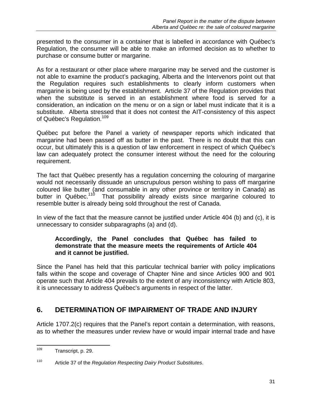presented to the consumer in a container that is labelled in accordance with Québec's Regulation, the consumer will be able to make an informed decision as to whether to purchase or consume butter or margarine.

As for a restaurant or other place where margarine may be served and the customer is not able to examine the product's packaging, Alberta and the Intervenors point out that the Regulation requires such establishments to clearly inform customers when margarine is being used by the establishment. Article 37 of the Regulation provides that when the substitute is served in an establishment where food is served for a consideration, an indication on the menu or on a sign or label must indicate that it is a substitute. Alberta stressed that it does not contest the AIT-consistency of this aspect of Québec's Regulation.<sup>109</sup>

Québec put before the Panel a variety of newspaper reports which indicated that margarine had been passed off as butter in the past. There is no doubt that this can occur, but ultimately this is a question of law enforcement in respect of which Québec's law can adequately protect the consumer interest without the need for the colouring requirement.

The fact that Québec presently has a regulation concerning the colouring of margarine would not necessarily dissuade an unscrupulous person wishing to pass off margarine coloured like butter (and consumable in any other province or territory in Canada) as butter in Québec.<sup>110</sup> That possibility already exists since margarine coloured to resemble butter is already being sold throughout the rest of Canada.

In view of the fact that the measure cannot be justified under Article 404 (b) and (c), it is unnecessary to consider subparagraphs (a) and (d).

### **Accordingly, the Panel concludes that Québec has failed to demonstrate that the measure meets the requirements of Article 404 and it cannot be justified.**

Since the Panel has held that this particular technical barrier with policy implications falls within the scope and coverage of Chapter Nine and since Articles 900 and 901 operate such that Article 404 prevails to the extent of any inconsistency with Article 803, it is unnecessary to address Québec's arguments in respect of the latter.

## **6. DETERMINATION OF IMPAIRMENT OF TRADE AND INJURY**

Article 1707.2(c) requires that the Panel's report contain a determination, with reasons, as to whether the measures under review have or would impair internal trade and have

<sup>109</sup> Transcript, p. 29.

<sup>110</sup> Article 37 of the *Regulation Respecting Dairy Product Substitutes*.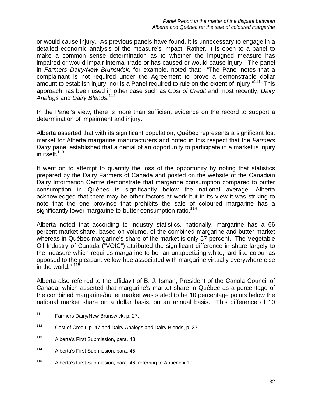or would cause injury. As previous panels have found, it is unnecessary to engage in a detailed economic analysis of the measure's impact. Rather, it is open to a panel to make a common sense determination as to whether the impugned measure has impaired or would impair internal trade or has caused or would cause injury. The panel in *Farmers Dairy/New Brunswick*, for example, noted that: "The Panel notes that a complainant is not required under the Agreement to prove a demonstrable dollar amount to establish injury, nor is a Panel required to rule on the extent of injury."<sup>111</sup> This approach has been used in other case such as *Cost of Credit* and most recently, *Dairy Analogs* and *Dairy Blends*. 112

In the Panel's view, there is more than sufficient evidence on the record to support a determination of impairment and injury.

Alberta asserted that with its significant population, Québec represents a significant lost market for Alberta margarine manufacturers and noted in this respect that the *Farmers Dairy* panel established that a denial of an opportunity to participate in a market is injury in itself.<sup>113</sup>

It went on to attempt to quantify the loss of the opportunity by noting that statistics prepared by the Dairy Farmers of Canada and posted on the website of the Canadian Dairy Information Centre demonstrate that margarine consumption compared to butter consumption in Québec is significantly below the national average. Alberta acknowledged that there may be other factors at work but in its view it was striking to note that the one province that prohibits the sale of coloured margarine has a significantly lower margarine-to-butter consumption ratio.<sup>114</sup>

Alberta noted that according to industry statistics, nationally, margarine has a 66 percent market share, based on volume, of the combined margarine and butter market whereas in Québec margarine's share of the market is only 57 percent. The Vegetable Oil Industry of Canada ("VOIC") attributed the significant difference in share largely to the measure which requires margarine to be "an unappetizing white, lard-like colour as opposed to the pleasant yellow-hue associated with margarine virtually everywhere else in the world." <sup>115</sup>

Alberta also referred to the affidavit of B. J. Isman, President of the Canola Council of Canada, which asserted that margarine's market share in Québec as a percentage of the combined margarine/butter market was stated to be 10 percentage points below the national market share on a dollar basis, on an annual basis. This difference of 10

 $111$ Farmers Dairy/New Brunswick, p. 27.

<sup>112</sup> Cost of Credit, p. 47 and Dairy Analogs and Dairy Blends, p. 37.

<sup>113</sup> Alberta's First Submission, para. 43

<sup>114</sup> Alberta's First Submission, para. 45.

<sup>115</sup> Alberta's First Submission, para. 46, referring to Appendix 10.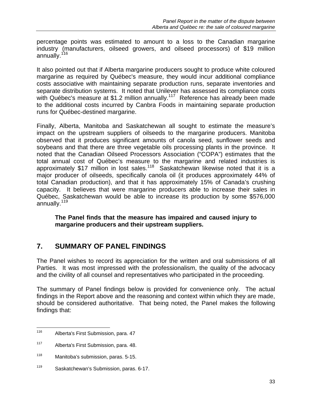percentage points was estimated to amount to a loss to the Canadian margarine industry (manufacturers, oilseed growers, and oilseed processors) of \$19 million annually.<sup>116</sup>

It also pointed out that if Alberta margarine producers sought to produce white coloured margarine as required by Québec's measure, they would incur additional compliance costs associative with maintaining separate production runs, separate inventories and separate distribution systems. It noted that Unilever has assessed its compliance costs with Québec's measure at \$1.2 million annually.<sup>117</sup> Reference has already been made to the additional costs incurred by Canbra Foods in maintaining separate production runs for Québec-destined margarine.

Finally, Alberta, Manitoba and Saskatchewan all sought to estimate the measure's impact on the upstream suppliers of oilseeds to the margarine producers. Manitoba observed that it produces significant amounts of canola seed, sunflower seeds and soybeans and that there are three vegetable oils processing plants in the province. It noted that the Canadian Oilseed Processors Association ("COPA") estimates that the total annual cost of Québec's measure to the margarine and related industries is approximately \$17 million in lost sales.<sup>118</sup> Saskatchewan likewise noted that it is a major producer of oilseeds, specifically canola oil (it produces approximately 44% of total Canadian production), and that it has approximately 15% of Canada's crushing capacity. It believes that were margarine producers able to increase their sales in Québec, Saskatchewan would be able to increase its production by some \$576,000 annually.<sup>119</sup>

### **The Panel finds that the measure has impaired and caused injury to margarine producers and their upstream suppliers.**

# **7. SUMMARY OF PANEL FINDINGS**

The Panel wishes to record its appreciation for the written and oral submissions of all Parties. It was most impressed with the professionalism, the quality of the advocacy and the civility of all counsel and representatives who participated in the proceeding.

The summary of Panel findings below is provided for convenience only. The actual findings in the Report above and the reasoning and context within which they are made, should be considered authoritative. That being noted, the Panel makes the following findings that:

<sup>116</sup> Alberta's First Submission, para. 47

<sup>117</sup> Alberta's First Submission, para. 48.

<sup>118</sup> Manitoba's submission, paras. 5-15.

<sup>119</sup> Saskatchewan's Submission, paras. 6-17.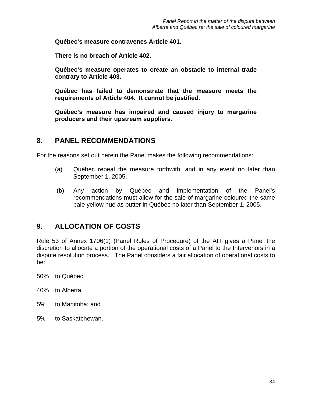**Québec's measure contravenes Article 401.** 

**There is no breach of Article 402.** 

**Québec's measure operates to create an obstacle to internal trade contrary to Article 403.** 

**Québec has failed to demonstrate that the measure meets the requirements of Article 404. It cannot be justified.** 

**Québec's measure has impaired and caused injury to margarine producers and their upstream suppliers.** 

## **8. PANEL RECOMMENDATIONS**

For the reasons set out herein the Panel makes the following recommendations:

- (a) Québec repeal the measure forthwith, and in any event no later than September 1, 2005.
- (b) Any action by Québec and implementation of the Panel's recommendations must allow for the sale of margarine coloured the same pale yellow hue as butter in Québec no later than September 1, 2005.

## **9. ALLOCATION OF COSTS**

Rule 53 of Annex 1706(1) (Panel Rules of Procedure) of the AIT gives a Panel the discretion to allocate a portion of the operational costs of a Panel to the Intervenors in a dispute resolution process. The Panel considers a fair allocation of operational costs to be:

50% to Québec;

- 40% to Alberta;
- 5% to Manitoba; and
- 5% to Saskatchewan.